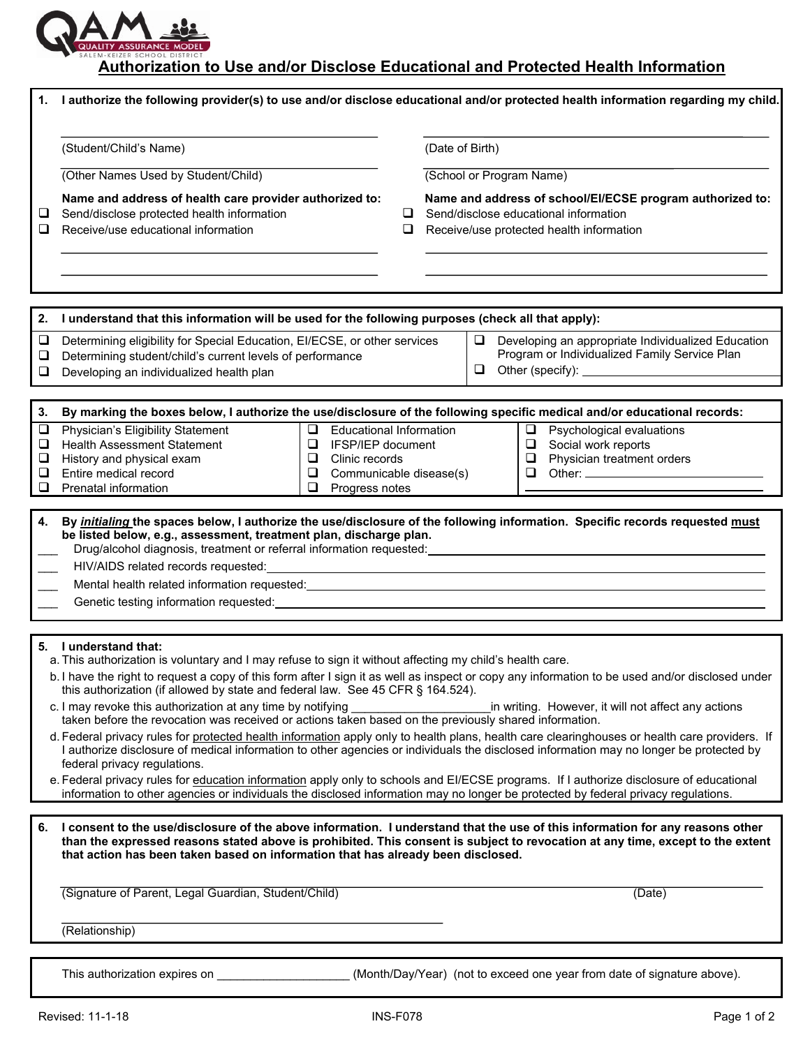

# **Authorization to Use and/or Disclose Educational and Protected Health Information**

| 1.                                                                                                                                                                                                                                                                                                                                                                                                                                                                                                                                                                                                                                                                                                                                                                                                                                                                                                                                                                                                                                                                                                                                                                                                                | I authorize the following provider(s) to use and/or disclose educational and/or protected health information regarding my child.                                                                                                                                                                                                                                                                                                                                                                                                                                                                                                                                                                              |                                        |                                                                                                                             |                 |                                                                                                               |  |  |                                                                                                                                                |  |
|-------------------------------------------------------------------------------------------------------------------------------------------------------------------------------------------------------------------------------------------------------------------------------------------------------------------------------------------------------------------------------------------------------------------------------------------------------------------------------------------------------------------------------------------------------------------------------------------------------------------------------------------------------------------------------------------------------------------------------------------------------------------------------------------------------------------------------------------------------------------------------------------------------------------------------------------------------------------------------------------------------------------------------------------------------------------------------------------------------------------------------------------------------------------------------------------------------------------|---------------------------------------------------------------------------------------------------------------------------------------------------------------------------------------------------------------------------------------------------------------------------------------------------------------------------------------------------------------------------------------------------------------------------------------------------------------------------------------------------------------------------------------------------------------------------------------------------------------------------------------------------------------------------------------------------------------|----------------------------------------|-----------------------------------------------------------------------------------------------------------------------------|-----------------|---------------------------------------------------------------------------------------------------------------|--|--|------------------------------------------------------------------------------------------------------------------------------------------------|--|
|                                                                                                                                                                                                                                                                                                                                                                                                                                                                                                                                                                                                                                                                                                                                                                                                                                                                                                                                                                                                                                                                                                                                                                                                                   |                                                                                                                                                                                                                                                                                                                                                                                                                                                                                                                                                                                                                                                                                                               |                                        |                                                                                                                             |                 |                                                                                                               |  |  |                                                                                                                                                |  |
|                                                                                                                                                                                                                                                                                                                                                                                                                                                                                                                                                                                                                                                                                                                                                                                                                                                                                                                                                                                                                                                                                                                                                                                                                   | (Student/Child's Name)                                                                                                                                                                                                                                                                                                                                                                                                                                                                                                                                                                                                                                                                                        |                                        |                                                                                                                             | (Date of Birth) |                                                                                                               |  |  |                                                                                                                                                |  |
|                                                                                                                                                                                                                                                                                                                                                                                                                                                                                                                                                                                                                                                                                                                                                                                                                                                                                                                                                                                                                                                                                                                                                                                                                   | (Other Names Used by Student/Child)                                                                                                                                                                                                                                                                                                                                                                                                                                                                                                                                                                                                                                                                           |                                        |                                                                                                                             |                 | (School or Program Name)                                                                                      |  |  |                                                                                                                                                |  |
| ⊔<br>⊔                                                                                                                                                                                                                                                                                                                                                                                                                                                                                                                                                                                                                                                                                                                                                                                                                                                                                                                                                                                                                                                                                                                                                                                                            | Name and address of health care provider authorized to:<br>Send/disclose protected health information<br>Receive/use educational information                                                                                                                                                                                                                                                                                                                                                                                                                                                                                                                                                                  |                                        | ப<br>ப                                                                                                                      |                 |                                                                                                               |  |  | Name and address of school/EI/ECSE program authorized to:<br>Send/disclose educational information<br>Receive/use protected health information |  |
|                                                                                                                                                                                                                                                                                                                                                                                                                                                                                                                                                                                                                                                                                                                                                                                                                                                                                                                                                                                                                                                                                                                                                                                                                   |                                                                                                                                                                                                                                                                                                                                                                                                                                                                                                                                                                                                                                                                                                               |                                        |                                                                                                                             |                 |                                                                                                               |  |  |                                                                                                                                                |  |
| 2.                                                                                                                                                                                                                                                                                                                                                                                                                                                                                                                                                                                                                                                                                                                                                                                                                                                                                                                                                                                                                                                                                                                                                                                                                | I understand that this information will be used for the following purposes (check all that apply):                                                                                                                                                                                                                                                                                                                                                                                                                                                                                                                                                                                                            |                                        |                                                                                                                             |                 |                                                                                                               |  |  |                                                                                                                                                |  |
| ⊔<br>⊔<br>⊔                                                                                                                                                                                                                                                                                                                                                                                                                                                                                                                                                                                                                                                                                                                                                                                                                                                                                                                                                                                                                                                                                                                                                                                                       | Determining eligibility for Special Education, EI/ECSE, or other services<br>Determining student/child's current levels of performance<br>Developing an individualized health plan                                                                                                                                                                                                                                                                                                                                                                                                                                                                                                                            |                                        |                                                                                                                             |                 | Developing an appropriate Individualized Education<br>u<br>Program or Individualized Family Service Plan<br>❏ |  |  |                                                                                                                                                |  |
|                                                                                                                                                                                                                                                                                                                                                                                                                                                                                                                                                                                                                                                                                                                                                                                                                                                                                                                                                                                                                                                                                                                                                                                                                   |                                                                                                                                                                                                                                                                                                                                                                                                                                                                                                                                                                                                                                                                                                               |                                        |                                                                                                                             |                 |                                                                                                               |  |  |                                                                                                                                                |  |
| 3.                                                                                                                                                                                                                                                                                                                                                                                                                                                                                                                                                                                                                                                                                                                                                                                                                                                                                                                                                                                                                                                                                                                                                                                                                | By marking the boxes below, I authorize the use/disclosure of the following specific medical and/or educational records:                                                                                                                                                                                                                                                                                                                                                                                                                                                                                                                                                                                      |                                        |                                                                                                                             |                 |                                                                                                               |  |  |                                                                                                                                                |  |
| $\Box$<br>⊔                                                                                                                                                                                                                                                                                                                                                                                                                                                                                                                                                                                                                                                                                                                                                                                                                                                                                                                                                                                                                                                                                                                                                                                                       | Physician's Eligibility Statement<br><b>Health Assessment Statement</b>                                                                                                                                                                                                                                                                                                                                                                                                                                                                                                                                                                                                                                       | $\Box$<br>u                            | <b>Educational Information</b><br>Psychological evaluations<br>$\Box$<br>Social work reports<br>IFSP/IEP document<br>$\Box$ |                 |                                                                                                               |  |  |                                                                                                                                                |  |
| ❏                                                                                                                                                                                                                                                                                                                                                                                                                                                                                                                                                                                                                                                                                                                                                                                                                                                                                                                                                                                                                                                                                                                                                                                                                 | History and physical exam                                                                                                                                                                                                                                                                                                                                                                                                                                                                                                                                                                                                                                                                                     | u                                      | Physician treatment orders<br>Clinic records<br>$\Box$                                                                      |                 |                                                                                                               |  |  |                                                                                                                                                |  |
| $\Box$                                                                                                                                                                                                                                                                                                                                                                                                                                                                                                                                                                                                                                                                                                                                                                                                                                                                                                                                                                                                                                                                                                                                                                                                            | Entire medical record                                                                                                                                                                                                                                                                                                                                                                                                                                                                                                                                                                                                                                                                                         | $\Box$<br>Communicable disease(s)<br>❏ |                                                                                                                             |                 |                                                                                                               |  |  |                                                                                                                                                |  |
| $\Box$                                                                                                                                                                                                                                                                                                                                                                                                                                                                                                                                                                                                                                                                                                                                                                                                                                                                                                                                                                                                                                                                                                                                                                                                            | Prenatal information                                                                                                                                                                                                                                                                                                                                                                                                                                                                                                                                                                                                                                                                                          | $\Box$<br>Progress notes               |                                                                                                                             |                 |                                                                                                               |  |  |                                                                                                                                                |  |
| 4.                                                                                                                                                                                                                                                                                                                                                                                                                                                                                                                                                                                                                                                                                                                                                                                                                                                                                                                                                                                                                                                                                                                                                                                                                | By initialing the spaces below, I authorize the use/disclosure of the following information. Specific records requested must<br>be listed below, e.g., assessment, treatment plan, discharge plan.<br>Drug/alcohol diagnosis, treatment or referral information requested: entity and the matter of the matter of the matter of the matter of the matter of the matter of the matter of the matter of the matter of the matter of th<br>HIV/AIDS related records requested:<br>Genetic testing information requested: example of the state of the state of the state of the state of the state of the state of the state of the state of the state of the state of the state of the state of the state of the |                                        |                                                                                                                             |                 |                                                                                                               |  |  |                                                                                                                                                |  |
|                                                                                                                                                                                                                                                                                                                                                                                                                                                                                                                                                                                                                                                                                                                                                                                                                                                                                                                                                                                                                                                                                                                                                                                                                   |                                                                                                                                                                                                                                                                                                                                                                                                                                                                                                                                                                                                                                                                                                               |                                        |                                                                                                                             |                 |                                                                                                               |  |  |                                                                                                                                                |  |
| 5. I understand that:<br>a. This authorization is voluntary and I may refuse to sign it without affecting my child's health care.<br>b. I have the right to request a copy of this form after I sign it as well as inspect or copy any information to be used and/or disclosed under<br>this authorization (if allowed by state and federal law. See 45 CFR § 164.524).<br>c. I may revoke this authorization at any time by notifying<br>in writing. However, it will not affect any actions<br>taken before the revocation was received or actions taken based on the previously shared information.<br>d. Federal privacy rules for protected health information apply only to health plans, health care clearinghouses or health care providers. If<br>I authorize disclosure of medical information to other agencies or individuals the disclosed information may no longer be protected by<br>federal privacy regulations.<br>e. Federal privacy rules for education information apply only to schools and EI/ECSE programs. If I authorize disclosure of educational<br>information to other agencies or individuals the disclosed information may no longer be protected by federal privacy regulations. |                                                                                                                                                                                                                                                                                                                                                                                                                                                                                                                                                                                                                                                                                                               |                                        |                                                                                                                             |                 |                                                                                                               |  |  |                                                                                                                                                |  |
| 6.                                                                                                                                                                                                                                                                                                                                                                                                                                                                                                                                                                                                                                                                                                                                                                                                                                                                                                                                                                                                                                                                                                                                                                                                                | I consent to the use/disclosure of the above information. I understand that the use of this information for any reasons other                                                                                                                                                                                                                                                                                                                                                                                                                                                                                                                                                                                 |                                        |                                                                                                                             |                 |                                                                                                               |  |  |                                                                                                                                                |  |
|                                                                                                                                                                                                                                                                                                                                                                                                                                                                                                                                                                                                                                                                                                                                                                                                                                                                                                                                                                                                                                                                                                                                                                                                                   | than the expressed reasons stated above is prohibited. This consent is subject to revocation at any time, except to the extent<br>that action has been taken based on information that has already been disclosed.<br>(Signature of Parent, Legal Guardian, Student/Child)<br>(Date)                                                                                                                                                                                                                                                                                                                                                                                                                          |                                        |                                                                                                                             |                 |                                                                                                               |  |  |                                                                                                                                                |  |
|                                                                                                                                                                                                                                                                                                                                                                                                                                                                                                                                                                                                                                                                                                                                                                                                                                                                                                                                                                                                                                                                                                                                                                                                                   | (Relationship)                                                                                                                                                                                                                                                                                                                                                                                                                                                                                                                                                                                                                                                                                                |                                        |                                                                                                                             |                 |                                                                                                               |  |  |                                                                                                                                                |  |
|                                                                                                                                                                                                                                                                                                                                                                                                                                                                                                                                                                                                                                                                                                                                                                                                                                                                                                                                                                                                                                                                                                                                                                                                                   |                                                                                                                                                                                                                                                                                                                                                                                                                                                                                                                                                                                                                                                                                                               |                                        |                                                                                                                             |                 |                                                                                                               |  |  |                                                                                                                                                |  |
|                                                                                                                                                                                                                                                                                                                                                                                                                                                                                                                                                                                                                                                                                                                                                                                                                                                                                                                                                                                                                                                                                                                                                                                                                   | This authorization expires on<br>(Month/Day/Year) (not to exceed one year from date of signature above).                                                                                                                                                                                                                                                                                                                                                                                                                                                                                                                                                                                                      |                                        |                                                                                                                             |                 |                                                                                                               |  |  |                                                                                                                                                |  |